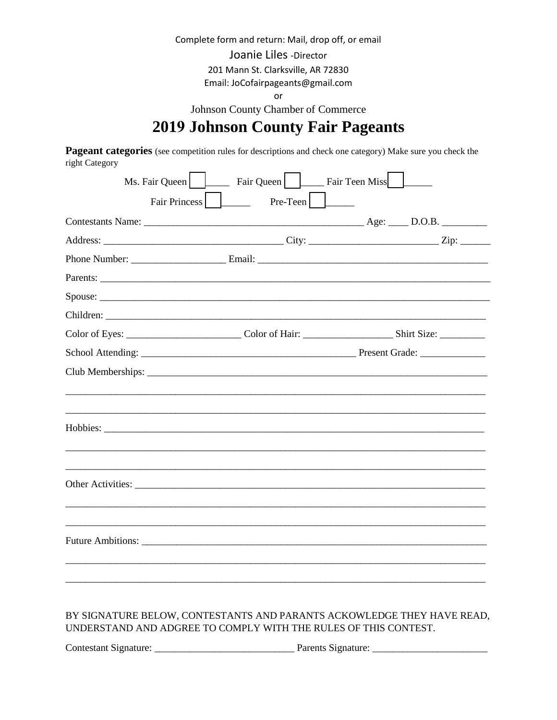Complete form and return: Mail, drop off, or email

Joanie Liles - Director

201 Mann St. Clarksville, AR 72830

Email: JoCofairpageants@gmail.com

or

Johnson County Chamber of Commerce

# **2019 Johnson County Fair Pageants**

Pageant categories (see competition rules for descriptions and check one category) Make sure you check the right Category

| Ms. Fair Queen | Fair Queen        | Fair Teen Miss |  |
|----------------|-------------------|----------------|--|
| Fair Princess  | $Pre-Teen$ $\Box$ |                |  |
|                |                   |                |  |
|                |                   |                |  |
|                |                   |                |  |
| Parents:       |                   |                |  |
|                |                   |                |  |
|                |                   |                |  |
|                |                   |                |  |
|                |                   |                |  |
|                |                   |                |  |
|                |                   |                |  |
|                |                   |                |  |
|                |                   |                |  |
|                |                   |                |  |
|                |                   |                |  |

#### BY SIGNATURE BELOW, CONTESTANTS AND PARANTS ACKOWLEDGE THEY HAVE READ, UNDERSTAND AND ADGREE TO COMPLY WITH THE RULES OF THIS CONTEST.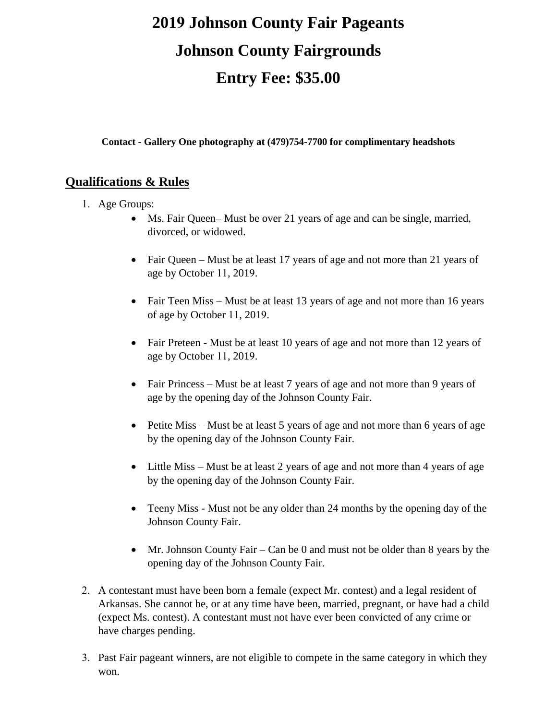# **2019 Johnson County Fair Pageants Johnson County Fairgrounds Entry Fee: \$35.00**

**Contact - Gallery One photography at (479)754-7700 for complimentary headshots** 

## **Qualifications & Rules**

- 1. Age Groups:
	- Ms. Fair Queen– Must be over 21 years of age and can be single, married, divorced, or widowed.
	- Fair Queen Must be at least 17 years of age and not more than 21 years of age by October 11, 2019.
	- Fair Teen Miss Must be at least 13 years of age and not more than 16 years of age by October 11, 2019.
	- Fair Preteen Must be at least 10 years of age and not more than 12 years of age by October 11, 2019.
	- Fair Princess Must be at least 7 years of age and not more than 9 years of age by the opening day of the Johnson County Fair.
	- Petite Miss Must be at least 5 years of age and not more than 6 years of age by the opening day of the Johnson County Fair.
	- Little Miss Must be at least 2 years of age and not more than 4 years of age by the opening day of the Johnson County Fair.
	- Teeny Miss Must not be any older than 24 months by the opening day of the Johnson County Fair.
	- Mr. Johnson County Fair Can be 0 and must not be older than 8 years by the opening day of the Johnson County Fair.
- 2. A contestant must have been born a female (expect Mr. contest) and a legal resident of Arkansas. She cannot be, or at any time have been, married, pregnant, or have had a child (expect Ms. contest). A contestant must not have ever been convicted of any crime or have charges pending.
- 3. Past Fair pageant winners, are not eligible to compete in the same category in which they won.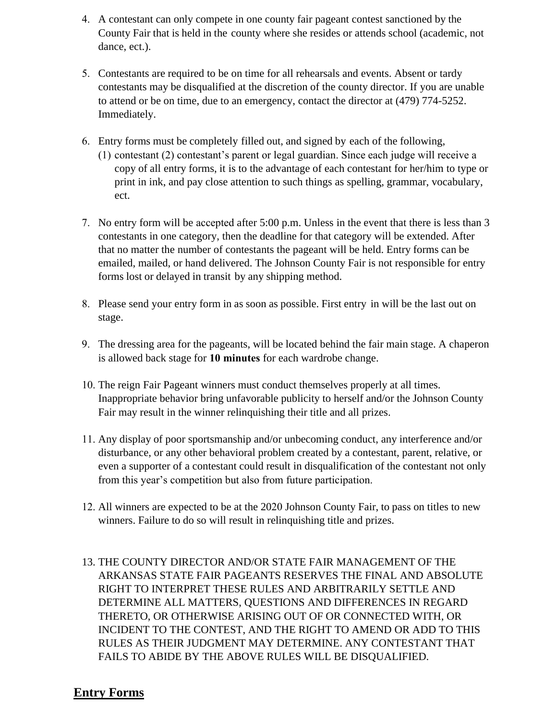- 4. A contestant can only compete in one county fair pageant contest sanctioned by the County Fair that is held in the county where she resides or attends school (academic, not dance, ect.).
- 5. Contestants are required to be on time for all rehearsals and events. Absent or tardy contestants may be disqualified at the discretion of the county director. If you are unable to attend or be on time, due to an emergency, contact the director at (479) 774-5252. Immediately.
- 6. Entry forms must be completely filled out, and signed by each of the following,
	- (1) contestant (2) contestant's parent or legal guardian. Since each judge will receive a copy of all entry forms, it is to the advantage of each contestant for her/him to type or print in ink, and pay close attention to such things as spelling, grammar, vocabulary, ect.
- 7. No entry form will be accepted after 5:00 p.m. Unless in the event that there is less than 3 contestants in one category, then the deadline for that category will be extended. After that no matter the number of contestants the pageant will be held. Entry forms can be emailed, mailed, or hand delivered. The Johnson County Fair is not responsible for entry forms lost or delayed in transit by any shipping method.
- 8. Please send your entry form in as soon as possible. First entry in will be the last out on stage.
- 9. The dressing area for the pageants, will be located behind the fair main stage. A chaperon is allowed back stage for **10 minutes** for each wardrobe change.
- 10. The reign Fair Pageant winners must conduct themselves properly at all times. Inappropriate behavior bring unfavorable publicity to herself and/or the Johnson County Fair may result in the winner relinquishing their title and all prizes.
- 11. Any display of poor sportsmanship and/or unbecoming conduct, any interference and/or disturbance, or any other behavioral problem created by a contestant, parent, relative, or even a supporter of a contestant could result in disqualification of the contestant not only from this year's competition but also from future participation.
- 12. All winners are expected to be at the 2020 Johnson County Fair, to pass on titles to new winners. Failure to do so will result in relinquishing title and prizes.
- 13. THE COUNTY DIRECTOR AND/OR STATE FAIR MANAGEMENT OF THE ARKANSAS STATE FAIR PAGEANTS RESERVES THE FINAL AND ABSOLUTE RIGHT TO INTERPRET THESE RULES AND ARBITRARILY SETTLE AND DETERMINE ALL MATTERS, QUESTIONS AND DIFFERENCES IN REGARD THERETO, OR OTHERWISE ARISING OUT OF OR CONNECTED WITH, OR INCIDENT TO THE CONTEST, AND THE RIGHT TO AMEND OR ADD TO THIS RULES AS THEIR JUDGMENT MAY DETERMINE. ANY CONTESTANT THAT FAILS TO ABIDE BY THE ABOVE RULES WILL BE DISQUALIFIED.

#### **Entry Forms**